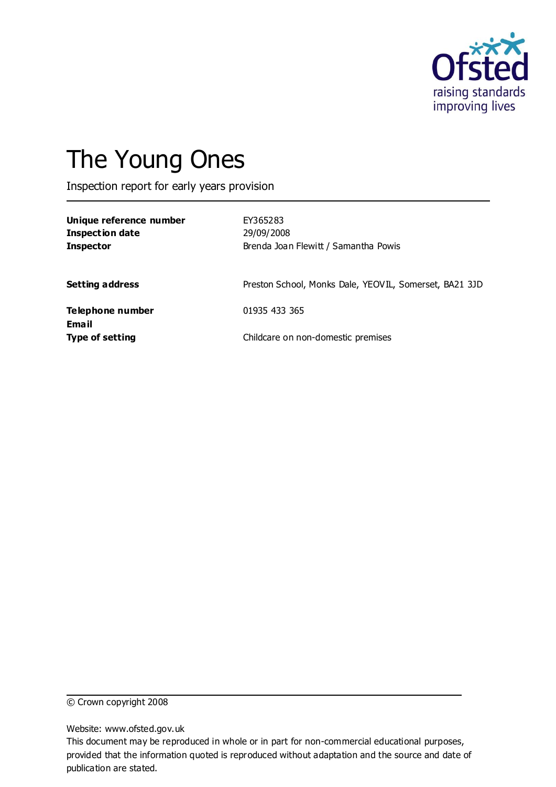

# The Young Ones

Inspection report for early years provision

| Unique reference number<br><b>Inspection date</b><br><b>Inspector</b> | EY365283<br>29/09/2008<br>Brenda Joan Flewitt / Samantha Powis |
|-----------------------------------------------------------------------|----------------------------------------------------------------|
| <b>Setting address</b>                                                | Preston School, Monks Dale, YEOVIL, Somerset, BA21 3JD         |
| Telephone number<br>Email                                             | 01935 433 365                                                  |
| <b>Type of setting</b>                                                | Childcare on non-domestic premises                             |

© Crown copyright 2008

Website: www.ofsted.gov.uk

This document may be reproduced in whole or in part for non-commercial educational purposes, provided that the information quoted is reproduced without adaptation and the source and date of publication are stated.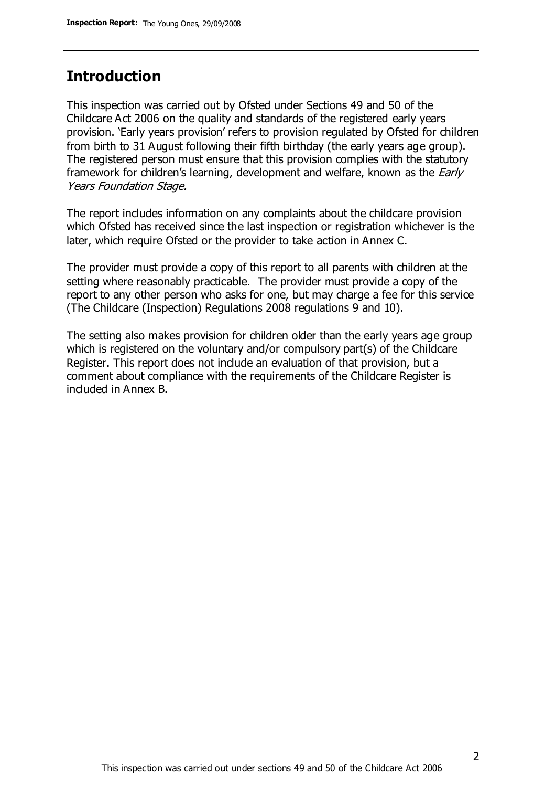# **Introduction**

This inspection was carried out by Ofsted under Sections 49 and 50 of the Childcare Act 2006 on the quality and standards of the registered early years provision. 'Early years provision' refers to provision regulated by Ofsted for children from birth to 31 August following their fifth birthday (the early years age group). The registered person must ensure that this provision complies with the statutory framework for children's learning, development and welfare, known as the *Early* Years Foundation Stage.

The report includes information on any complaints about the childcare provision which Ofsted has received since the last inspection or registration whichever is the later, which require Ofsted or the provider to take action in Annex C.

The provider must provide a copy of this report to all parents with children at the setting where reasonably practicable. The provider must provide a copy of the report to any other person who asks for one, but may charge a fee for this service (The Childcare (Inspection) Regulations 2008 regulations 9 and 10).

The setting also makes provision for children older than the early years age group which is registered on the voluntary and/or compulsory part(s) of the Childcare Register. This report does not include an evaluation of that provision, but a comment about compliance with the requirements of the Childcare Register is included in Annex B.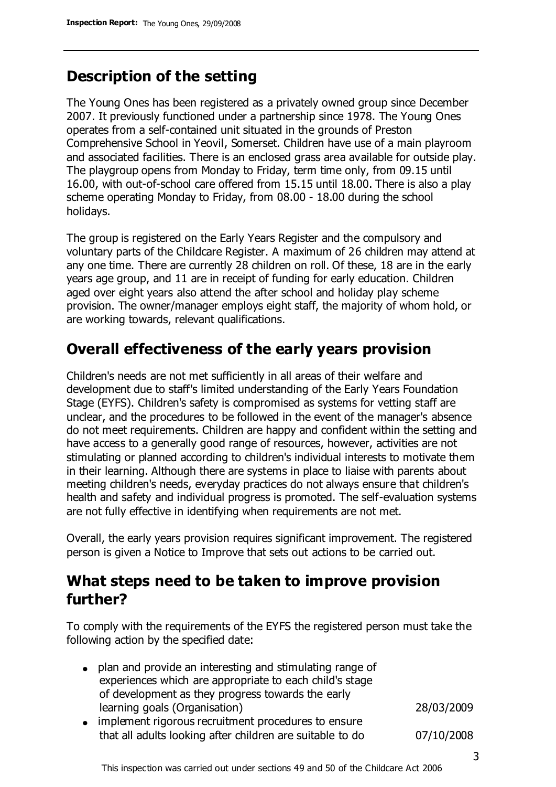# **Description of the setting**

The Young Ones has been registered as a privately owned group since December 2007. It previously functioned under a partnership since 1978. The Young Ones operates from a self-contained unit situated in the grounds of Preston Comprehensive School in Yeovil, Somerset. Children have use of a main playroom and associated facilities. There is an enclosed grass area available for outside play. The playgroup opens from Monday to Friday, term time only, from 09.15 until 16.00, with out-of-school care offered from 15.15 until 18.00. There is also a play scheme operating Monday to Friday, from 08.00 - 18.00 during the school holidays.

The group is registered on the Early Years Register and the compulsory and voluntary parts of the Childcare Register. A maximum of 26 children may attend at any one time. There are currently 28 children on roll. Of these, 18 are in the early years age group, and 11 are in receipt of funding for early education. Children aged over eight years also attend the after school and holiday play scheme provision. The owner/manager employs eight staff, the majority of whom hold, or are working towards, relevant qualifications.

# **Overall effectiveness of the early years provision**

Children's needs are not met sufficiently in all areas of their welfare and development due to staff's limited understanding of the Early Years Foundation Stage (EYFS). Children's safety is compromised as systems for vetting staff are unclear, and the procedures to be followed in the event of the manager's absence do not meet requirements. Children are happy and confident within the setting and have access to a generally good range of resources, however, activities are not stimulating or planned according to children's individual interests to motivate them in their learning. Although there are systems in place to liaise with parents about meeting children's needs, everyday practices do not always ensure that children's health and safety and individual progress is promoted. The self-evaluation systems are not fully effective in identifying when requirements are not met.

Overall, the early years provision requires significant improvement. The registered person is given a Notice to Improve that sets out actions to be carried out.

# **What steps need to be taken to improve provision further?**

To comply with the requirements of the EYFS the registered person must take the following action by the specified date:

| • plan and provide an interesting and stimulating range of<br>experiences which are appropriate to each child's stage |            |
|-----------------------------------------------------------------------------------------------------------------------|------------|
| of development as they progress towards the early                                                                     |            |
| learning goals (Organisation)                                                                                         | 28/03/2009 |
| • implement rigorous recruitment procedures to ensure                                                                 |            |
| that all adults looking after children are suitable to do                                                             | 07/10/2008 |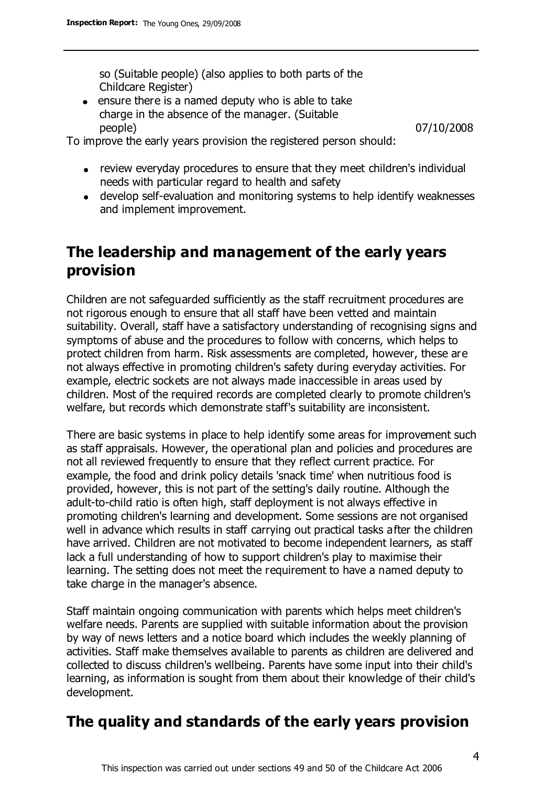so (Suitable people) (also applies to both parts of the Childcare Register)

ensure there is a named deputy who is able to take charge in the absence of the manager. (Suitable people) 07/10/2008

To improve the early years provision the registered person should:

- review everyday procedures to ensure that they meet children's individual needs with particular regard to health and safety
- develop self-evaluation and monitoring systems to help identify weaknesses and implement improvement.

# **The leadership and management of the early years provision**

Children are not safeguarded sufficiently as the staff recruitment procedures are not rigorous enough to ensure that all staff have been vetted and maintain suitability. Overall, staff have a satisfactory understanding of recognising signs and symptoms of abuse and the procedures to follow with concerns, which helps to protect children from harm. Risk assessments are completed, however, these are not always effective in promoting children's safety during everyday activities. For example, electric sockets are not always made inaccessible in areas used by children. Most of the required records are completed clearly to promote children's welfare, but records which demonstrate staff's suitability are inconsistent.

There are basic systems in place to help identify some areas for improvement such as staff appraisals. However, the operational plan and policies and procedures are not all reviewed frequently to ensure that they reflect current practice. For example, the food and drink policy details 'snack time' when nutritious food is provided, however, this is not part of the setting's daily routine. Although the adult-to-child ratio is often high, staff deployment is not always effective in promoting children's learning and development. Some sessions are not organised well in advance which results in staff carrying out practical tasks after the children have arrived. Children are not motivated to become independent learners, as staff lack a full understanding of how to support children's play to maximise their learning. The setting does not meet the requirement to have a named deputy to take charge in the manager's absence.

Staff maintain ongoing communication with parents which helps meet children's welfare needs. Parents are supplied with suitable information about the provision by way of news letters and a notice board which includes the weekly planning of activities. Staff make themselves available to parents as children are delivered and collected to discuss children's wellbeing. Parents have some input into their child's learning, as information is sought from them about their knowledge of their child's development.

## **The quality and standards of the early years provision**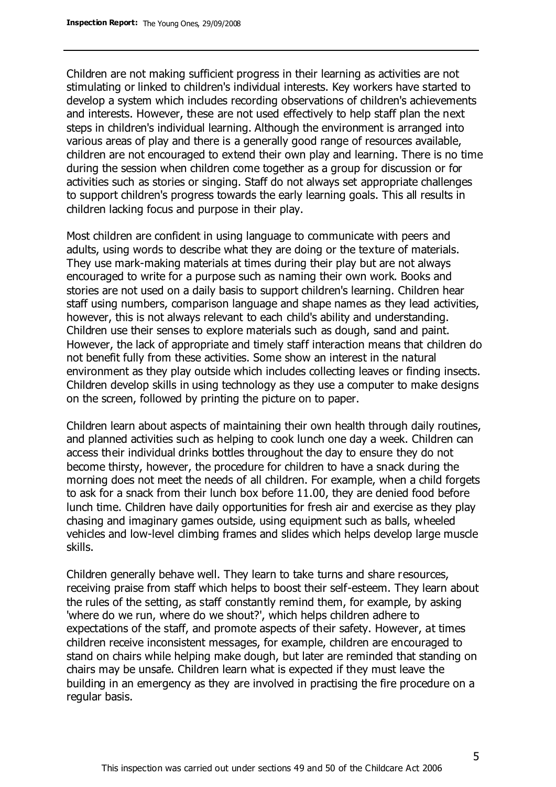Children are not making sufficient progress in their learning as activities are not stimulating or linked to children's individual interests. Key workers have started to develop a system which includes recording observations of children's achievements and interests. However, these are not used effectively to help staff plan the next steps in children's individual learning. Although the environment is arranged into various areas of play and there is a generally good range of resources available, children are not encouraged to extend their own play and learning. There is no time during the session when children come together as a group for discussion or for activities such as stories or singing. Staff do not always set appropriate challenges to support children's progress towards the early learning goals. This all results in children lacking focus and purpose in their play.

Most children are confident in using language to communicate with peers and adults, using words to describe what they are doing or the texture of materials. They use mark-making materials at times during their play but are not always encouraged to write for a purpose such as naming their own work. Books and stories are not used on a daily basis to support children's learning. Children hear staff using numbers, comparison language and shape names as they lead activities, however, this is not always relevant to each child's ability and understanding. Children use their senses to explore materials such as dough, sand and paint. However, the lack of appropriate and timely staff interaction means that children do not benefit fully from these activities. Some show an interest in the natural environment as they play outside which includes collecting leaves or finding insects. Children develop skills in using technology as they use a computer to make designs on the screen, followed by printing the picture on to paper.

Children learn about aspects of maintaining their own health through daily routines, and planned activities such as helping to cook lunch one day a week. Children can access their individual drinks bottles throughout the day to ensure they do not become thirsty, however, the procedure for children to have a snack during the morning does not meet the needs of all children. For example, when a child forgets to ask for a snack from their lunch box before 11.00, they are denied food before lunch time. Children have daily opportunities for fresh air and exercise as they play chasing and imaginary games outside, using equipment such as balls, wheeled vehicles and low-level climbing frames and slides which helps develop large muscle skills.

Children generally behave well. They learn to take turns and share resources, receiving praise from staff which helps to boost their self-esteem. They learn about the rules of the setting, as staff constantly remind them, for example, by asking 'where do we run, where do we shout?', which helps children adhere to expectations of the staff, and promote aspects of their safety. However, at times children receive inconsistent messages, for example, children are encouraged to stand on chairs while helping make dough, but later are reminded that standing on chairs may be unsafe. Children learn what is expected if they must leave the building in an emergency as they are involved in practising the fire procedure on a regular basis.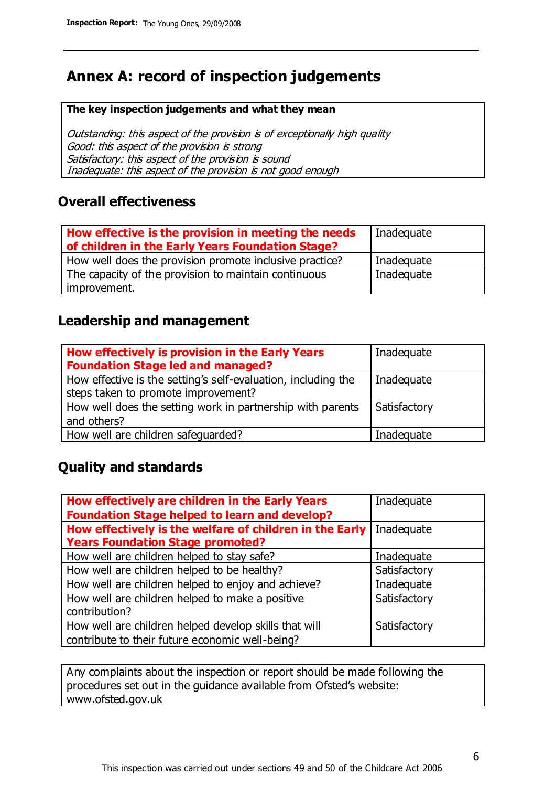# **Annex A: record of inspection judgements**

#### **The key inspection judgements and what they mean**

Outstanding: this aspect of the provision is of exceptionally high quality Good: this aspect of the provision is strong Satisfactory: this aspect of the provision is sound Inadequate: this aspect of the provision is not good enough

### **Overall effectiveness**

| How effective is the provision in meeting the needs<br>of children in the Early Years Foundation Stage? | Inadequate |
|---------------------------------------------------------------------------------------------------------|------------|
| How well does the provision promote inclusive practice?                                                 | Inadequate |
| The capacity of the provision to maintain continuous                                                    | Inadequate |
| improvement.                                                                                            |            |

### **Leadership and management**

| How effectively is provision in the Early Years<br><b>Foundation Stage led and managed?</b>          | Inadequate   |
|------------------------------------------------------------------------------------------------------|--------------|
| How effective is the setting's self-evaluation, including the<br>steps taken to promote improvement? | Inadequate   |
| How well does the setting work in partnership with parents<br>and others?                            | Satisfactory |
| How well are children safeguarded?                                                                   | Inadequate   |

### **Quality and standards**

| How effectively are children in the Early Years         | Inadequate   |
|---------------------------------------------------------|--------------|
| <b>Foundation Stage helped to learn and develop?</b>    |              |
| How effectively is the welfare of children in the Early | Inadequate   |
| <b>Years Foundation Stage promoted?</b>                 |              |
| How well are children helped to stay safe?              | Inadequate   |
| How well are children helped to be healthy?             | Satisfactory |
| How well are children helped to enjoy and achieve?      | Inadequate   |
| How well are children helped to make a positive         | Satisfactory |
| contribution?                                           |              |
| How well are children helped develop skills that will   | Satisfactory |
| contribute to their future economic well-being?         |              |

Any complaints about the inspection or report should be made following the procedures set out in the guidance available from Ofsted's website: www.ofsted.gov.uk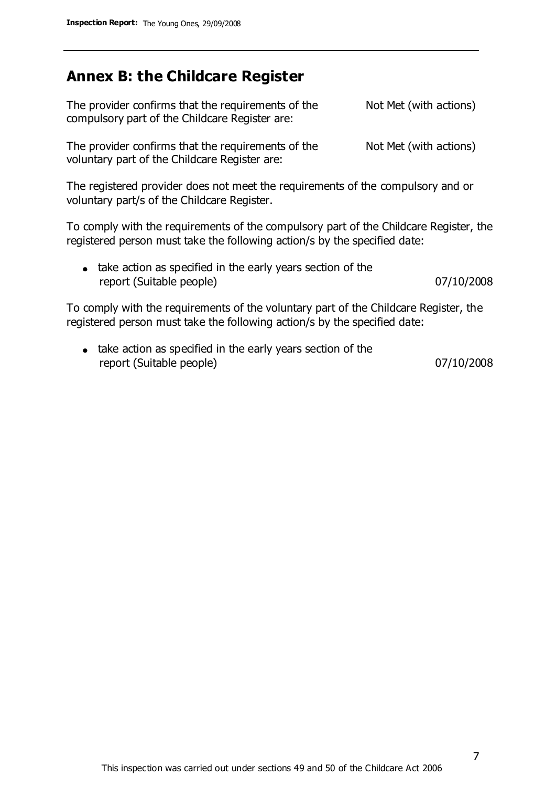## **Annex B: the Childcare Register**

| The provider confirms that the requirements of the<br>compulsory part of the Childcare Register are: | Not Met (with actions) |
|------------------------------------------------------------------------------------------------------|------------------------|
| The provider confirms that the requirements of the<br>voluntary part of the Childcare Register are:  | Not Met (with actions) |

The registered provider does not meet the requirements of the compulsory and or voluntary part/s of the Childcare Register.

To comply with the requirements of the compulsory part of the Childcare Register, the registered person must take the following action/s by the specified date:

| • take action as specified in the early years section of the |            |
|--------------------------------------------------------------|------------|
| report (Suitable people)                                     | 07/10/2008 |

To comply with the requirements of the voluntary part of the Childcare Register, the registered person must take the following action/s by the specified date:

• take action as specified in the early years section of the report (Suitable people) 07/10/2008